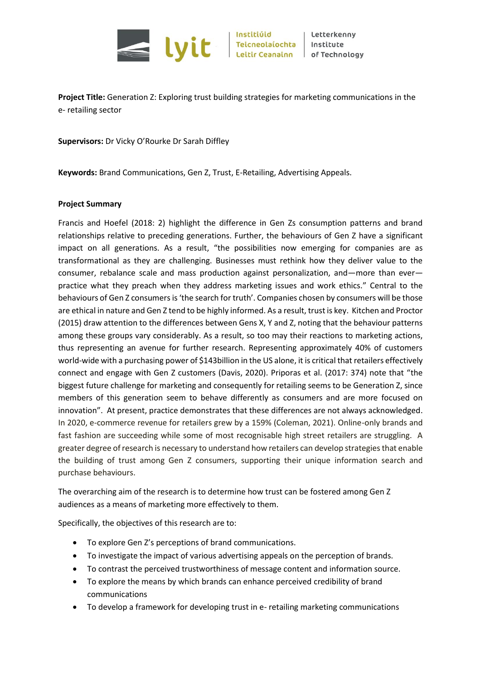

Letterkenny Institute

**Project Title:** Generation Z: Exploring trust building strategies for marketing communications in the e- retailing sector

**Supervisors:** Dr Vicky O'Rourke Dr Sarah Diffley

**Keywords:** Brand Communications, Gen Z, Trust, E-Retailing, Advertising Appeals.

## **Project Summary**

Francis and Hoefel (2018: 2) highlight the difference in Gen Zs consumption patterns and brand relationships relative to preceding generations. Further, the behaviours of Gen Z have a significant impact on all generations. As a result, "the possibilities now emerging for companies are as transformational as they are challenging. Businesses must rethink how they deliver value to the consumer, rebalance scale and mass production against personalization, and—more than ever practice what they preach when they address marketing issues and work ethics." Central to the behaviours of Gen Z consumers is 'the search for truth'. Companies chosen by consumers will be those are ethical in nature and Gen Z tend to be highly informed. As a result, trust is key. Kitchen and Proctor (2015) draw attention to the differences between Gens X, Y and Z, noting that the behaviour patterns among these groups vary considerably. As a result, so too may their reactions to marketing actions, thus representing an avenue for further research. Representing approximately 40% of customers world-wide with a purchasing power of \$143billion in the US alone, it is critical that retailers effectively connect and engage with Gen Z customers (Davis, 2020). Priporas et al. (2017: 374) note that "the biggest future challenge for marketing and consequently for retailing seems to be Generation Z, since members of this generation seem to behave differently as consumers and are more focused on innovation". At present, practice demonstrates that these differences are not always acknowledged. In 2020, e-commerce revenue for retailers grew by a 159% (Coleman, 2021). Online-only brands and fast fashion are succeeding while some of most recognisable high street retailers are struggling. A greater degree of research is necessary to understand how retailers can develop strategies that enable the building of trust among Gen Z consumers, supporting their unique information search and purchase behaviours.

The overarching aim of the research is to determine how trust can be fostered among Gen Z audiences as a means of marketing more effectively to them.

Specifically, the objectives of this research are to:

- To explore Gen Z's perceptions of brand communications.
- To investigate the impact of various advertising appeals on the perception of brands.
- To contrast the perceived trustworthiness of message content and information source.
- To explore the means by which brands can enhance perceived credibility of brand communications
- To develop a framework for developing trust in e- retailing marketing communications